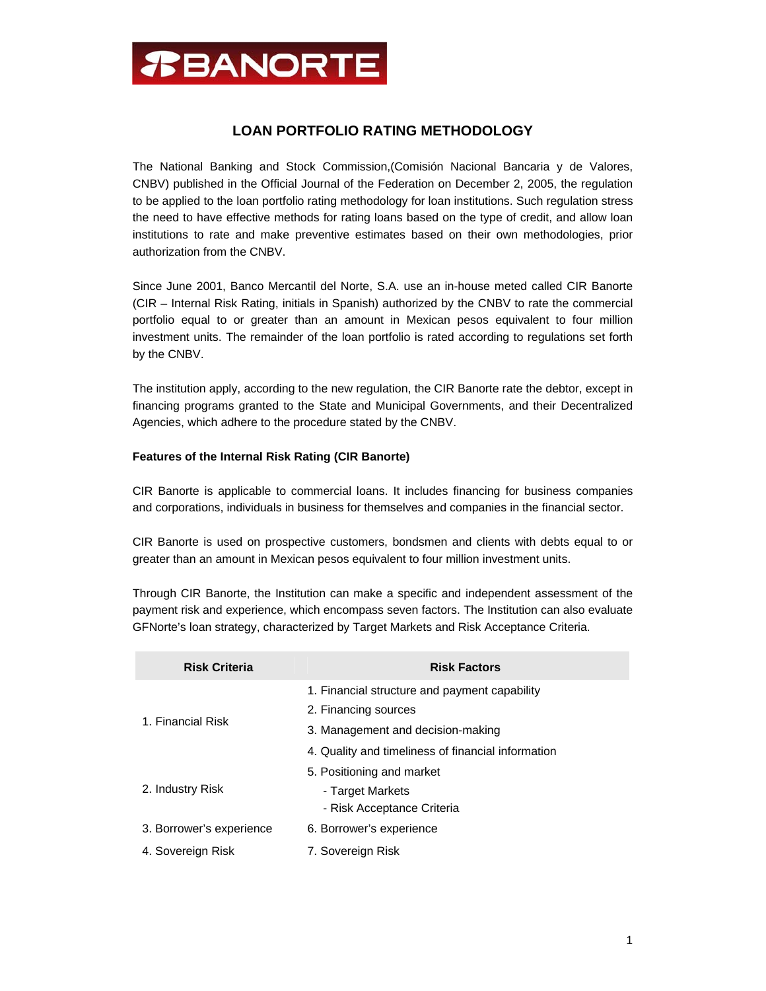

## **LOAN PORTFOLIO RATING METHODOLOGY**

The National Banking and Stock Commission,(Comisión Nacional Bancaria y de Valores, CNBV) published in the Official Journal of the Federation on December 2, 2005, the regulation to be applied to the loan portfolio rating methodology for loan institutions. Such regulation stress the need to have effective methods for rating loans based on the type of credit, and allow loan institutions to rate and make preventive estimates based on their own methodologies, prior authorization from the CNBV.

Since June 2001, Banco Mercantil del Norte, S.A. use an in-house meted called CIR Banorte (CIR – Internal Risk Rating, initials in Spanish) authorized by the CNBV to rate the commercial portfolio equal to or greater than an amount in Mexican pesos equivalent to four million investment units. The remainder of the loan portfolio is rated according to regulations set forth by the CNBV.

The institution apply, according to the new regulation, the CIR Banorte rate the debtor, except in financing programs granted to the State and Municipal Governments, and their Decentralized Agencies, which adhere to the procedure stated by the CNBV.

## **Features of the Internal Risk Rating (CIR Banorte)**

CIR Banorte is applicable to commercial loans. It includes financing for business companies and corporations, individuals in business for themselves and companies in the financial sector.

CIR Banorte is used on prospective customers, bondsmen and clients with debts equal to or greater than an amount in Mexican pesos equivalent to four million investment units.

Through CIR Banorte, the Institution can make a specific and independent assessment of the payment risk and experience, which encompass seven factors. The Institution can also evaluate GFNorte's loan strategy, characterized by Target Markets and Risk Acceptance Criteria.

| <b>Risk Criteria</b>     | <b>Risk Factors</b>                                |
|--------------------------|----------------------------------------------------|
|                          | 1. Financial structure and payment capability      |
| 1. Financial Risk        | 2. Financing sources                               |
|                          | 3. Management and decision-making                  |
|                          | 4. Quality and timeliness of financial information |
|                          | 5. Positioning and market                          |
| 2. Industry Risk         | - Target Markets                                   |
|                          | - Risk Acceptance Criteria                         |
| 3. Borrower's experience | 6. Borrower's experience                           |
| 4. Sovereign Risk        | 7. Sovereign Risk                                  |